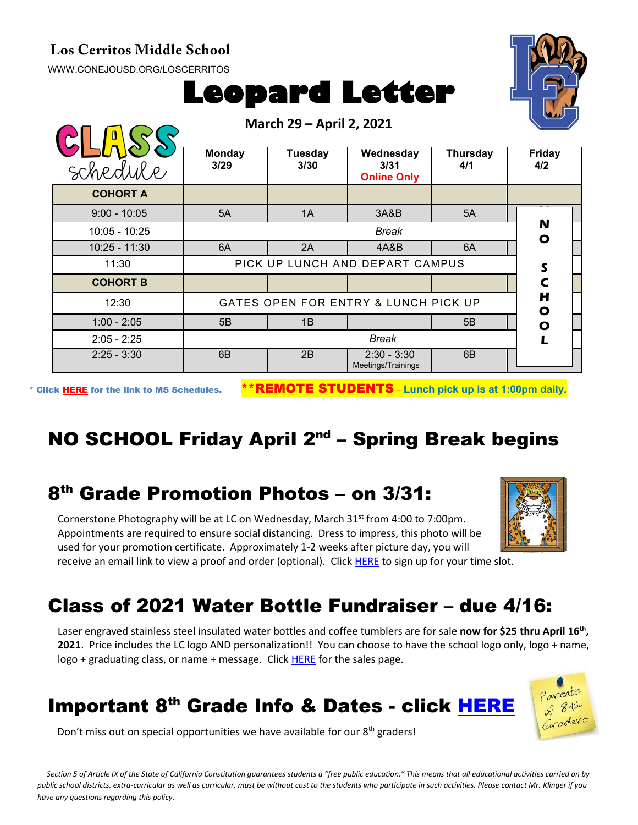#### **Los Cerritos Middle School**

[WWW.CONEJOUSD.ORG/LOSCERRITOS](http://www.conejousd.org/LOSCERRITOS)

# **Leopard Letter**



\* Click [HERE](https://www.conejousd.org/Portals/0/Middle%20School%20Monthly%20Calendar%20_FNLl.pdf?ver=2020-11-04-105638-860) for the link to MS Schedules. \*\*REMOTE STUDENTS – **Lunch pick up is at 1:00pm daily.**

## NO SCHOOL Friday April  $2^{nd}$  – Spring Break begins

#### 8th Grade Promotion Photos – on 3/31:

Cornerstone Photography will be at LC on Wednesday, March  $31<sup>st</sup>$  from 4:00 to 7:00pm. Appointments are required to ensure social distancing. Dress to impress, this photo will be used for your promotion certificate. Approximately 1-2 weeks after picture day, you will receive an email link to view a proof and order (optional). Clic[k HERE](https://www.signupgenius.com/go/5080D4FAFAA2BA2FB6-loscerritos) to sign up for your time slot.



Laser engraved stainless steel insulated water bottles and coffee tumblers are for sale **now for \$25 thru April 16<sup>th</sup>**, **2021**. Price includes the LC logo AND personalization!! You can choose to have the school logo only, logo + name, logo + graduating class, or name + message. Clic[k HERE](https://www.studentbottles.com/loscerritosmiddleschoolthousandoaks/) for the sales page.

#### Important 8<sup>th</sup> Grade Info & Dates - click [HERE](https://docs.google.com/document/d/1KwvAb5A6N3XOrohf4P_tUC-4_U_ICxfPB9oJK0wCns4/edit?usp=sharing)



Don't miss out on special opportunities we have available for our  $8<sup>th</sup>$  graders!

*Section 5 of Article IX of the State of California Constitution guarantees students a "free public education." This means that all educational activities carried on by public school districts, extra-curricular as well as curricular, must be without cost to the students who participate in such activities. Please contact Mr. Klinger if you have any questions regarding this policy.*